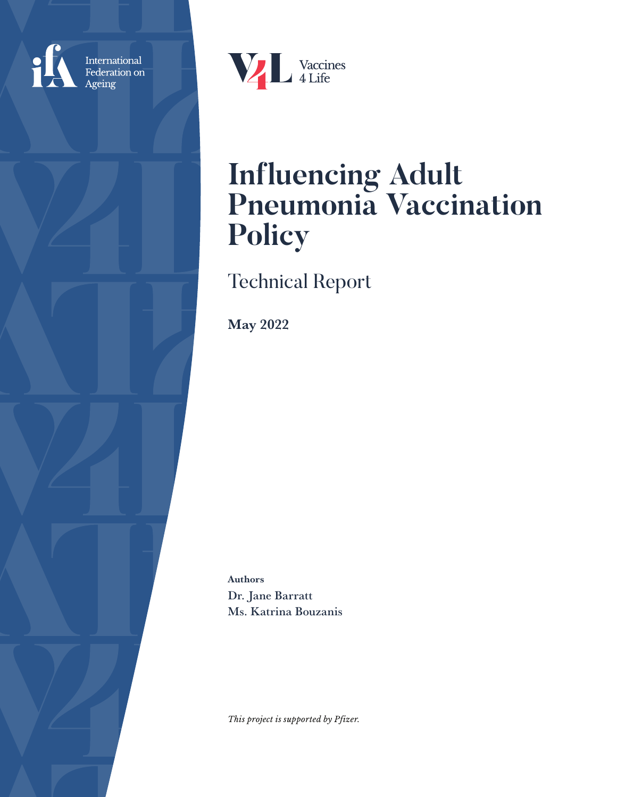

International<br>Federation on Ageing



# **Influencing Adult Pneumonia Vaccination Policy**

Technical Report

May 2022

Authors Dr. Jane Barratt Ms. Katrina Bouzanis

*This project is supported by Pfizer.*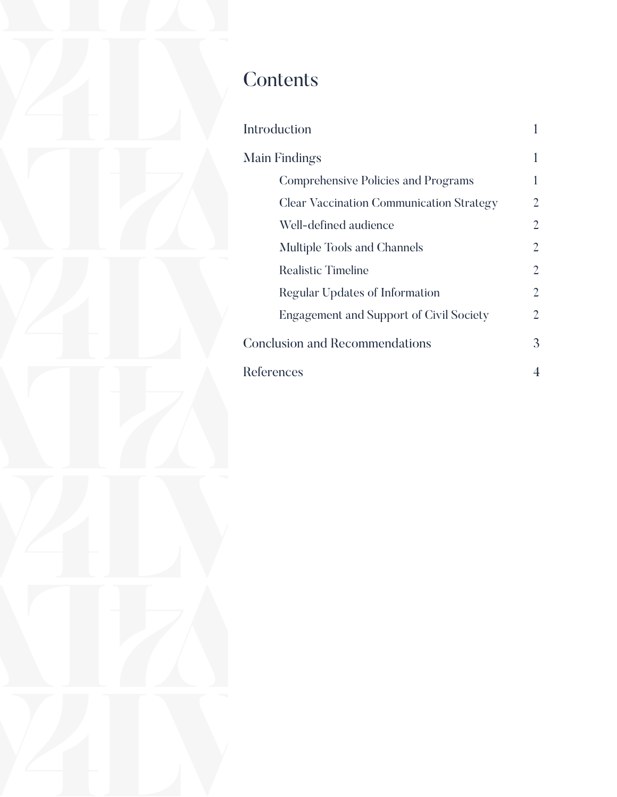## **Contents**

| <b>Introduction</b>                             |                |
|-------------------------------------------------|----------------|
| Main Findings                                   |                |
| <b>Comprehensive Policies and Programs</b>      | 1              |
| <b>Clear Vaccination Communication Strategy</b> | 2              |
| Well-defined audience                           | 2              |
| Multiple Tools and Channels                     | 2              |
| <b>Realistic Timeline</b>                       | 2              |
| Regular Updates of Information                  | 2              |
| <b>Engagement and Support of Civil Society</b>  | 2              |
| <b>Conclusion and Recommendations</b>           | 3              |
| References                                      | $\overline{4}$ |
|                                                 |                |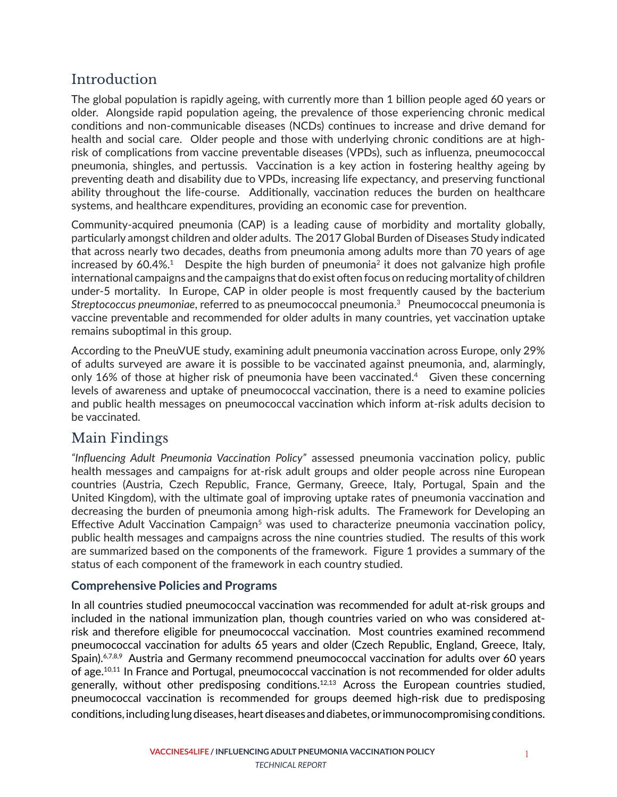## **Introduction**

The global population is rapidly ageing, with currently more than 1 billion people aged 60 years or older. Alongside rapid population ageing, the prevalence of those experiencing chronic medical conditions and non-communicable diseases (NCDs) continues to increase and drive demand for health and social care. Older people and those with underlying chronic conditions are at highrisk of complications from vaccine preventable diseases (VPDs), such as influenza, pneumococcal pneumonia, shingles, and pertussis. Vaccination is a key action in fostering healthy ageing by preventing death and disability due to VPDs, increasing life expectancy, and preserving functional ability throughout the life-course. Additionally, vaccination reduces the burden on healthcare systems, and healthcare expenditures, providing an economic case for prevention.

Community-acquired pneumonia (CAP) is a leading cause of morbidity and mortality globally, particularly amongst children and older adults. The 2017 Global Burden of Diseases Study indicated that across nearly two decades, deaths from pneumonia among adults more than 70 years of age increased by  $60.4\%$ <sup>1</sup> Despite the high burden of pneumonia<sup>2</sup> it does not galvanize high profile international campaigns and the campaigns that do exist often focus on reducing mortality of children under-5 mortality. In Europe, CAP in older people is most frequently caused by the bacterium *Streptococcus pneumoniae*, referred to as pneumococcal pneumonia.3 Pneumococcal pneumonia is vaccine preventable and recommended for older adults in many countries, yet vaccination uptake remains suboptimal in this group.

According to the PneuVUE study, examining adult pneumonia vaccination across Europe, only 29% of adults surveyed are aware it is possible to be vaccinated against pneumonia, and, alarmingly, only 16% of those at higher risk of pneumonia have been vaccinated.<sup>4</sup> Given these concerning levels of awareness and uptake of pneumococcal vaccination, there is a need to examine policies and public health messages on pneumococcal vaccination which inform at-risk adults decision to be vaccinated.

### Main Findings

*"Influencing Adult Pneumonia Vaccination Policy"* assessed pneumonia vaccination policy, public health messages and campaigns for at-risk adult groups and older people across nine European countries (Austria, Czech Republic, France, Germany, Greece, Italy, Portugal, Spain and the United Kingdom), with the ultimate goal of improving uptake rates of pneumonia vaccination and decreasing the burden of pneumonia among high-risk adults. The Framework for Developing an Effective Adult Vaccination Campaign<sup>5</sup> was used to characterize pneumonia vaccination policy, public health messages and campaigns across the nine countries studied. The results of this work are summarized based on the components of the framework. Figure 1 provides a summary of the status of each component of the framework in each country studied.

#### **Comprehensive Policies and Programs**

In all countries studied pneumococcal vaccination was recommended for adult at-risk groups and included in the national immunization plan, though countries varied on who was considered atrisk and therefore eligible for pneumococcal vaccination. Most countries examined recommend pneumococcal vaccination for adults 65 years and older (Czech Republic, England, Greece, Italy, Spain).<sup>6,7,8,9</sup> Austria and Germany recommend pneumococcal vaccination for adults over 60 years of age.<sup>10,11</sup> In France and Portugal, pneumococcal vaccination is not recommended for older adults generally, without other predisposing conditions.<sup>12,13</sup> Across the European countries studied, pneumococcal vaccination is recommended for groups deemed high-risk due to predisposing conditions, including lung diseases, heart diseases and diabetes, or immunocompromising conditions.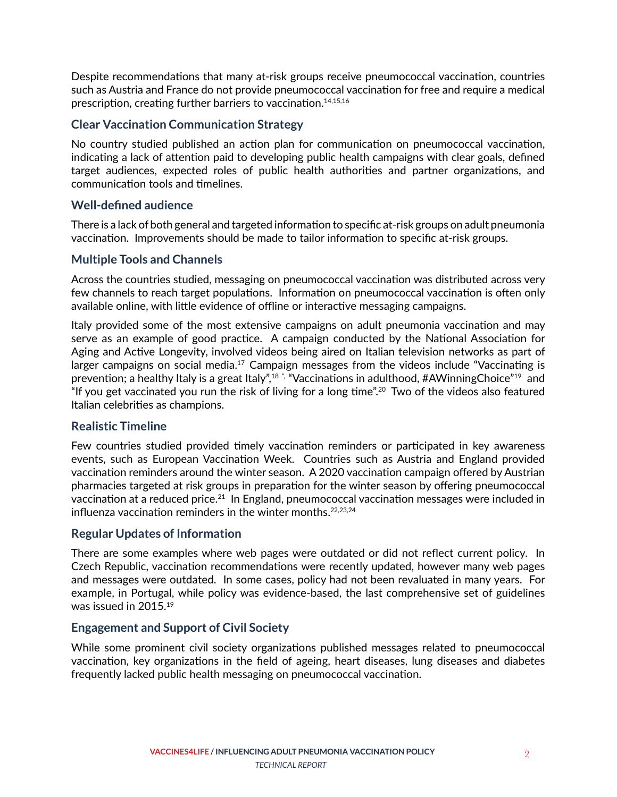Despite recommendations that many at-risk groups receive pneumococcal vaccination, countries such as Austria and France do not provide pneumococcal vaccination for free and require a medical prescription, creating further barriers to vaccination.14,15,16

#### **Clear Vaccination Communication Strategy**

No country studied published an action plan for communication on pneumococcal vaccination, indicating a lack of attention paid to developing public health campaigns with clear goals, defined target audiences, expected roles of public health authorities and partner organizations, and communication tools and timelines.

#### **Well-defined audience**

There is a lack of both general and targeted information to specific at-risk groups on adult pneumonia vaccination. Improvements should be made to tailor information to specific at-risk groups.

#### **Multiple Tools and Channels**

Across the countries studied, messaging on pneumococcal vaccination was distributed across very few channels to reach target populations. Information on pneumococcal vaccination is often only available online, with little evidence of offline or interactive messaging campaigns.

Italy provided some of the most extensive campaigns on adult pneumonia vaccination and may serve as an example of good practice. A campaign conducted by the National Association for Aging and Active Longevity, involved videos being aired on Italian television networks as part of larger campaigns on social media.<sup>17</sup> Campaign messages from the videos include "Vaccinating is prevention; a healthy Italy is a great Italy",<sup>18</sup> " "Vaccinations in adulthood, #AWinningChoice"<sup>19</sup> and "If you get vaccinated you run the risk of living for a long time".20 Two of the videos also featured Italian celebrities as champions.

#### **Realistic Timeline**

Few countries studied provided timely vaccination reminders or participated in key awareness events, such as European Vaccination Week. Countries such as Austria and England provided vaccination reminders around the winter season. A 2020 vaccination campaign offered by Austrian pharmacies targeted at risk groups in preparation for the winter season by offering pneumococcal vaccination at a reduced price.21 In England, pneumococcal vaccination messages were included in influenza vaccination reminders in the winter months.<sup>22,23,24</sup>

#### **Regular Updates of Information**

There are some examples where web pages were outdated or did not reflect current policy. In Czech Republic, vaccination recommendations were recently updated, however many web pages and messages were outdated. In some cases, policy had not been revaluated in many years. For example, in Portugal, while policy was evidence-based, the last comprehensive set of guidelines was issued in 2015.19

#### **Engagement and Support of Civil Society**

While some prominent civil society organizations published messages related to pneumococcal vaccination, key organizations in the field of ageing, heart diseases, lung diseases and diabetes frequently lacked public health messaging on pneumococcal vaccination.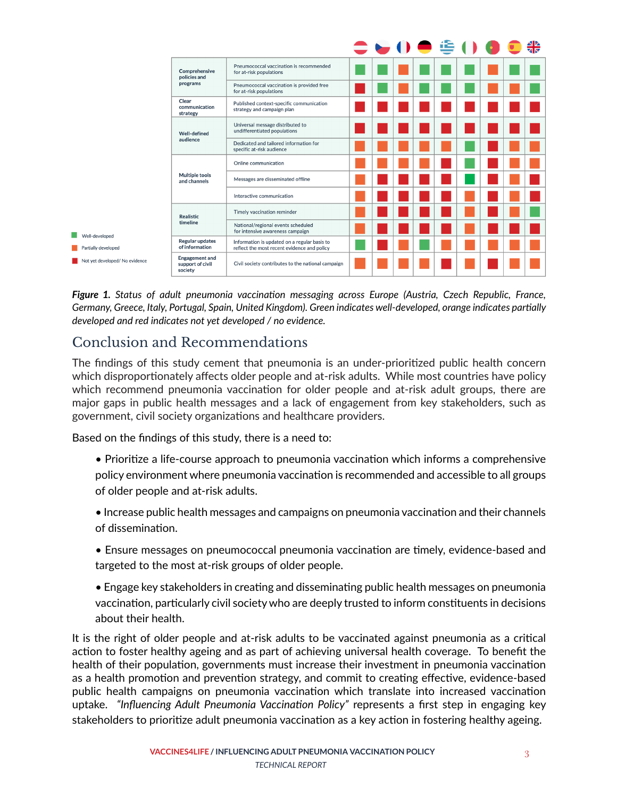

*Figure 1. Status of adult pneumonia vaccination messaging across Europe (Austria, Czech Republic, France, Germany, Greece, Italy, Portugal, Spain, United Kingdom). Green indicates well-developed, orange indicates partially developed and red indicates not yet developed / no evidence.*

## Conclusion and Recommendations

The findings of this study cement that pneumonia is an under-prioritized public health concern which disproportionately affects older people and at-risk adults. While most countries have policy which recommend pneumonia vaccination for older people and at-risk adult groups, there are major gaps in public health messages and a lack of engagement from key stakeholders, such as government, civil society organizations and healthcare providers.

Based on the findings of this study, there is a need to:

- Prioritize a life-course approach to pneumonia vaccination which informs a comprehensive policy environment where pneumonia vaccination is recommended and accessible to all groups of older people and at-risk adults.
- Increase public health messages and campaigns on pneumonia vaccination and their channels of dissemination.
- Ensure messages on pneumococcal pneumonia vaccination are timely, evidence-based and targeted to the most at-risk groups of older people.
- Engage key stakeholders in creating and disseminating public health messages on pneumonia vaccination, particularly civil society who are deeply trusted to inform constituents in decisions about their health.

It is the right of older people and at-risk adults to be vaccinated against pneumonia as a critical action to foster healthy ageing and as part of achieving universal health coverage. To benefit the health of their population, governments must increase their investment in pneumonia vaccination as a health promotion and prevention strategy, and commit to creating effective, evidence-based public health campaigns on pneumonia vaccination which translate into increased vaccination uptake. *"Influencing Adult Pneumonia Vaccination Policy"* represents a first step in engaging key stakeholders to prioritize adult pneumonia vaccination as a key action in fostering healthy ageing.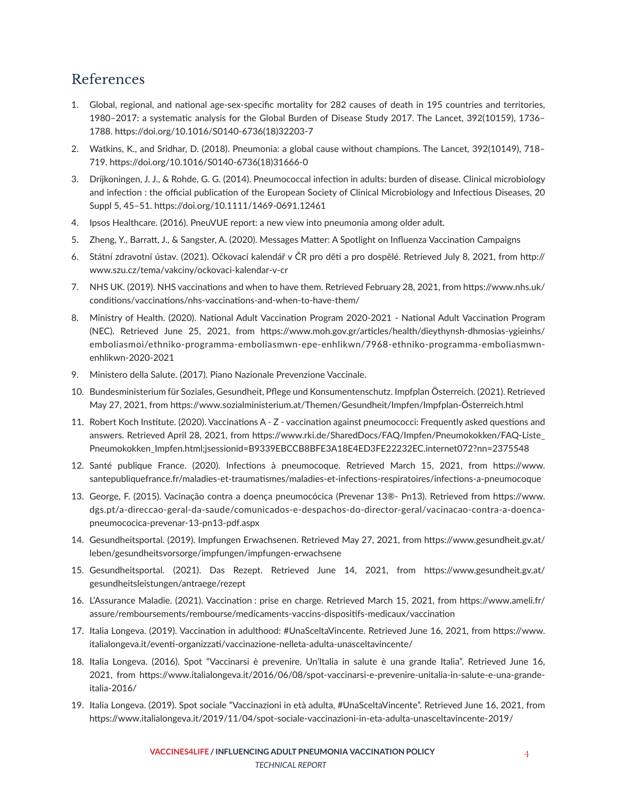## References

- 1. Global, regional, and national age-sex-specific mortality for 282 causes of death in 195 countries and territories, 1980–2017: a systematic analysis for the Global Burden of Disease Study 2017. The Lancet, 392(10159), 1736– 1788. https://doi.org/10.1016/S0140-6736(18)32203-7
- 2. Watkins, K., and Sridhar, D. (2018). Pneumonia: a global cause without champions. The Lancet, 392(10149), 718– 719. https://doi.org/10.1016/S0140-6736(18)31666-0
- 3. Drijkoningen, J. J., & Rohde, G. G. (2014). Pneumococcal infection in adults: burden of disease. Clinical microbiology and infection : the official publication of the European Society of Clinical Microbiology and Infectious Diseases, 20 Suppl 5, 45–51. https://doi.org/10.1111/1469-0691.12461
- 4. Ipsos Healthcare. (2016). PneuVUE report: a new view into pneumonia among older adult.
- 5. Zheng, Y., Barratt, J., & Sangster, A. (2020). Messages Matter: A Spotlight on Influenza Vaccination Campaigns
- 6. Státní zdravotní ústav. (2021). Očkovací kalendář v ČR pro děti a pro dospělé. Retrieved July 8, 2021, from http:// www.szu.cz/tema/vakciny/ockovaci-kalendar-v-cr
- 7. NHS UK. (2019). NHS vaccinations and when to have them. Retrieved February 28, 2021, from https://www.nhs.uk/ conditions/vaccinations/nhs-vaccinations-and-when-to-have-them/
- 8. Ministry of Health. (2020). National Adult Vaccination Program 2020-2021 National Adult Vaccination Program (NEC). Retrieved June 25, 2021, from https://www.moh.gov.gr/articles/health/dieythynsh-dhmosias-ygieinhs/ emboliasmoi/ethniko-programma-emboliasmwn-epe-enhlikwn/7968-ethniko-programma-emboliasmwnenhlikwn-2020-2021
- 9. Ministero della Salute. (2017). Piano Nazionale Prevenzione Vaccinale.
- 10. Bundesministerium für Soziales, Gesundheit, Pflege und Konsumentenschutz. Impfplan Österreich. (2021). Retrieved May 27, 2021, from https://www.sozialministerium.at/Themen/Gesundheit/Impfen/Impfplan-Österreich.html
- 11. Robert Koch Institute. (2020). Vaccinations A Z vaccination against pneumococci: Frequently asked questions and answers. Retrieved April 28, 2021, from https://www.rki.de/SharedDocs/FAQ/Impfen/Pneumokokken/FAQ-Liste\_ Pneumokokken\_Impfen.html;jsessionid=B9339EBCCB8BFE3A18E4ED3FE22232EC.internet072?nn=2375548
- 12. Santé publique France. (2020). Infections à pneumocoque. Retrieved March 15, 2021, from https://www. santepubliquefrance.fr/maladies-et-traumatismes/maladies-et-infections-respiratoires/infections-a-pneumocoque
- 13. George, F. (2015). Vacinação contra a doença pneumocócica (Prevenar 13®- Pn13). Retrieved from https://www. dgs.pt/a-direccao-geral-da-saude/comunicados-e-despachos-do-director-geral/vacinacao-contra-a-doencapneumococica-prevenar-13-pn13-pdf.aspx
- 14. Gesundheitsportal. (2019). Impfungen Erwachsenen. Retrieved May 27, 2021, from https://www.gesundheit.gv.at/ leben/gesundheitsvorsorge/impfungen/impfungen-erwachsene
- 15. Gesundheitsportal. (2021). Das Rezept. Retrieved June 14, 2021, from https://www.gesundheit.gv.at/ gesundheitsleistungen/antraege/rezept
- 16. L'Assurance Maladie. (2021). Vaccination : prise en charge. Retrieved March 15, 2021, from https://www.ameli.fr/ assure/remboursements/rembourse/medicaments-vaccins-dispositifs-medicaux/vaccination
- 17. Italia Longeva. (2019). Vaccination in adulthood: #UnaSceltaVincente. Retrieved June 16, 2021, from https://www. italialongeva.it/eventi-organizzati/vaccinazione-nelleta-adulta-unasceltavincente/
- 18. Italia Longeva. (2016). Spot "Vaccinarsi è prevenire. Un'Italia in salute è una grande Italia". Retrieved June 16, 2021, from https://www.italialongeva.it/2016/06/08/spot-vaccinarsi-e-prevenire-unitalia-in-salute-e-una-grandeitalia-2016/
- 19. Italia Longeva. (2019). Spot sociale "Vaccinazioni in età adulta, #UnaSceltaVincente". Retrieved June 16, 2021, from https://www.italialongeva.it/2019/11/04/spot-sociale-vaccinazioni-in-eta-adulta-unasceltavincente-2019/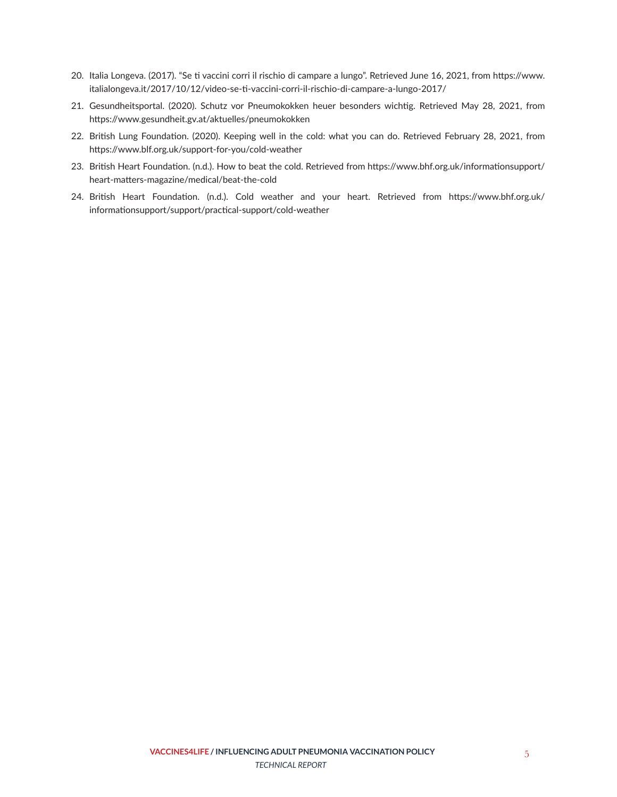- 20. Italia Longeva. (2017). "Se ti vaccini corri il rischio di campare a lungo". Retrieved June 16, 2021, from https://www. italialongeva.it/2017/10/12/video-se-ti-vaccini-corri-il-rischio-di-campare-a-lungo-2017/
- 21. Gesundheitsportal. (2020). Schutz vor Pneumokokken heuer besonders wichtig. Retrieved May 28, 2021, from https://www.gesundheit.gv.at/aktuelles/pneumokokken
- 22. British Lung Foundation. (2020). Keeping well in the cold: what you can do. Retrieved February 28, 2021, from https://www.blf.org.uk/support-for-you/cold-weather
- 23. British Heart Foundation. (n.d.). How to beat the cold. Retrieved from https://www.bhf.org.uk/informationsupport/ heart-matters-magazine/medical/beat-the-cold
- 24. British Heart Foundation. (n.d.). Cold weather and your heart. Retrieved from https://www.bhf.org.uk/ informationsupport/support/practical-support/cold-weather